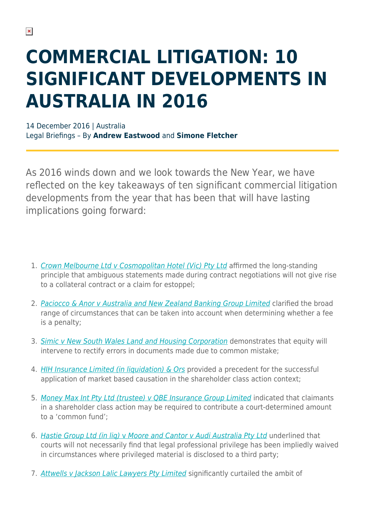# **COMMERCIAL LITIGATION: 10 SIGNIFICANT DEVELOPMENTS IN AUSTRALIA IN 2016**

14 December 2016 | Australia Legal Briefings – By **Andrew Eastwood** and **Simone Fletcher**

As 2016 winds down and we look towards the New Year, we have reflected on the key takeaways of ten significant commercial litigation developments from the year that has been that will have lasting implications going forward:

- 1. [Crown Melbourne Ltd v Cosmopolitan Hotel \(Vic\) Pty Ltd](https://www.herbertsmithfreehills.com/hsfpdf/latest-thinking/commercial-litigation-10-significant-developments-in-australia-in-2016#_High_Court_reminds) affirmed the long-standing principle that ambiguous statements made during contract negotiations will not give rise to a collateral contract or a claim for estoppel;
- 2. [Paciocco & Anor v Australia and New Zealand Banking Group Limited](https://www.herbertsmithfreehills.com/hsfpdf/latest-thinking/commercial-litigation-10-significant-developments-in-australia-in-2016#_High_Court_considers) clarified the broad range of circumstances that can be taken into account when determining whether a fee is a penalty;
- 3. [Simic v New South Wales Land and Housing Corporation](https://www.herbertsmithfreehills.com/hsfpdf/latest-thinking/commercial-litigation-10-significant-developments-in-australia-in-2016#_Equity_rectifies_a) demonstrates that equity will intervene to rectify errors in documents made due to common mistake;
- 4. [HIH Insurance Limited \(in liquidation\) & Ors](https://www.herbertsmithfreehills.com/hsfpdf/latest-thinking/commercial-litigation-10-significant-developments-in-australia-in-2016#_A_direct_decision) provided a precedent for the successful application of market based causation in the shareholder class action context;
- 5. [Money Max Int Pty Ltd \(trustee\) v QBE Insurance Group Limited](https://www.herbertsmithfreehills.com/hsfpdf/latest-thinking/commercial-litigation-10-significant-developments-in-australia-in-2016#_Open_class_actions) indicated that claimants in a shareholder class action may be required to contribute a court-determined amount to a 'common fund';
- 6. [Hastie Group Ltd \(in liq\)](https://www.herbertsmithfreehills.com/hsfpdf/latest-thinking/commercial-litigation-10-significant-developments-in-australia-in-2016#_Courts_endorse_instances) [v](https://www.herbertsmithfreehills.com/hsfpdf/latest-thinking/commercial-litigation-10-significant-developments-in-australia-in-2016#_Courts_endorse_instances) [Moore and Cantor v Audi Australia Pty Ltd](https://www.herbertsmithfreehills.com/hsfpdf/latest-thinking/commercial-litigation-10-significant-developments-in-australia-in-2016#_Courts_endorse_instances) underlined that courts will not necessarily find that legal professional privilege has been impliedly waived in circumstances where privileged material is disclosed to a third party;
- 7. [Attwells v Jackson Lalic Lawyers Pty Limited](https://www.herbertsmithfreehills.com/hsfpdf/latest-thinking/commercial-litigation-10-significant-developments-in-australia-in-2016#_High_Court_chips) significantly curtailed the ambit of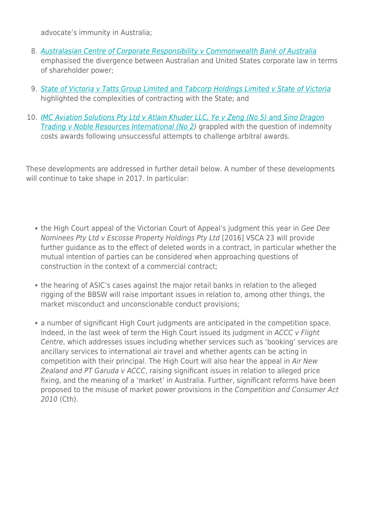advocate's immunity in Australia;

- 8. [Australasian Centre of Corporate Responsibility v Commonwealth Bank of Australia](https://www.herbertsmithfreehills.com/hsfpdf/latest-thinking/commercial-litigation-10-significant-developments-in-australia-in-2016#_Words_of_advice) emphasised the divergence between Australian and United States corporate law in terms of shareholder power;
- 9. [State of Victoria v Tatts Group Limited](https://www.herbertsmithfreehills.com/hsfpdf/latest-thinking/commercial-litigation-10-significant-developments-in-australia-in-2016#_Sovereign_risk_and) [and](https://www.herbertsmithfreehills.com/hsfpdf/latest-thinking/commercial-litigation-10-significant-developments-in-australia-in-2016#_Sovereign_risk_and) [Tabcorp Holdings Limited v State of Victoria](https://www.herbertsmithfreehills.com/hsfpdf/latest-thinking/commercial-litigation-10-significant-developments-in-australia-in-2016#_Sovereign_risk_and) highlighted the complexities of contracting with the State; and
- 10. [IMC Aviation Solutions Pty Ltd v Atlain Khuder LLC, Ye v Zeng \(No 5\)](https://www.herbertsmithfreehills.com/hsfpdf/latest-thinking/commercial-litigation-10-significant-developments-in-australia-in-2016#_Australian_courts_contend) [and](https://www.herbertsmithfreehills.com/hsfpdf/latest-thinking/commercial-litigation-10-significant-developments-in-australia-in-2016#_Australian_courts_contend) [Sino Dragon](https://www.herbertsmithfreehills.com/hsfpdf/latest-thinking/commercial-litigation-10-significant-developments-in-australia-in-2016#_Australian_courts_contend) **[Trading v Noble Resources International \(No 2\)](https://www.herbertsmithfreehills.com/hsfpdf/latest-thinking/commercial-litigation-10-significant-developments-in-australia-in-2016#_Australian_courts_contend)** grappled with the question of indemnity costs awards following unsuccessful attempts to challenge arbitral awards.

These developments are addressed in further detail below. A number of these developments will continue to take shape in 2017. In particular:

- the High Court appeal of the Victorian Court of Appeal's judgment this year in Gee Dee Nominees Pty Ltd v Escosse Property Holdings Pty Ltd [2016] VSCA 23 will provide further guidance as to the effect of deleted words in a contract, in particular whether the mutual intention of parties can be considered when approaching questions of construction in the context of a commercial contract;
- the hearing of ASIC's cases against the major retail banks in relation to the alleged rigging of the BBSW will raise important issues in relation to, among other things, the market misconduct and unconscionable conduct provisions;
- a number of significant High Court judgments are anticipated in the competition space. Indeed, in the last week of term the High Court issued its judgment in ACCC v Flight Centre, which addresses issues including whether services such as 'booking' services are ancillary services to international air travel and whether agents can be acting in competition with their principal. The High Court will also hear the appeal in Air New Zealand and PT Garuda v ACCC, raising significant issues in relation to alleged price fixing, and the meaning of a 'market' in Australia. Further, significant reforms have been proposed to the misuse of market power provisions in the Competition and Consumer Act 2010 (Cth).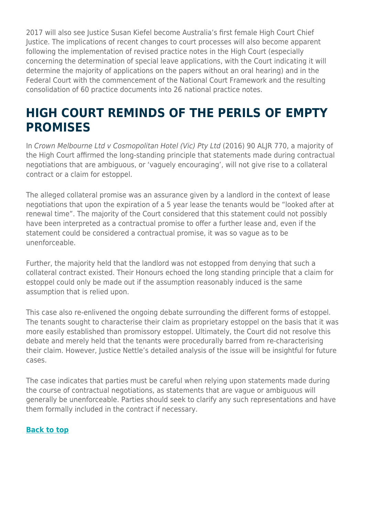2017 will also see Justice Susan Kiefel become Australia's first female High Court Chief Justice. The implications of recent changes to court processes will also become apparent following the implementation of revised practice notes in the High Court (especially concerning the determination of special leave applications, with the Court indicating it will determine the majority of applications on the papers without an oral hearing) and in the Federal Court with the commencement of the National Court Framework and the resulting consolidation of 60 practice documents into 26 national practice notes.

### **HIGH COURT REMINDS OF THE PERILS OF EMPTY PROMISES**

In Crown Melbourne Ltd v Cosmopolitan Hotel (Vic) Pty Ltd (2016) 90 ALJR 770, a majority of the High Court affirmed the long-standing principle that statements made during contractual negotiations that are ambiguous, or 'vaguely encouraging', will not give rise to a collateral contract or a claim for estoppel.

The alleged collateral promise was an assurance given by a landlord in the context of lease negotiations that upon the expiration of a 5 year lease the tenants would be "looked after at renewal time". The majority of the Court considered that this statement could not possibly have been interpreted as a contractual promise to offer a further lease and, even if the statement could be considered a contractual promise, it was so vague as to be unenforceable.

Further, the majority held that the landlord was not estopped from denying that such a collateral contract existed. Their Honours echoed the long standing principle that a claim for estoppel could only be made out if the assumption reasonably induced is the same assumption that is relied upon.

This case also re-enlivened the ongoing debate surrounding the different forms of estoppel. The tenants sought to characterise their claim as proprietary estoppel on the basis that it was more easily established than promissory estoppel. Ultimately, the Court did not resolve this debate and merely held that the tenants were procedurally barred from re-characterising their claim. However, Justice Nettle's detailed analysis of the issue will be insightful for future cases.

The case indicates that parties must be careful when relying upon statements made during the course of contractual negotiations, as statements that are vague or ambiguous will generally be unenforceable. Parties should seek to clarify any such representations and have them formally included in the contract if necessary.

#### **[Back to top](https://www.herbertsmithfreehills.com/hsfpdf/latest-thinking/commercial-litigation-10-significant-developments-in-australia-in-2016#top)**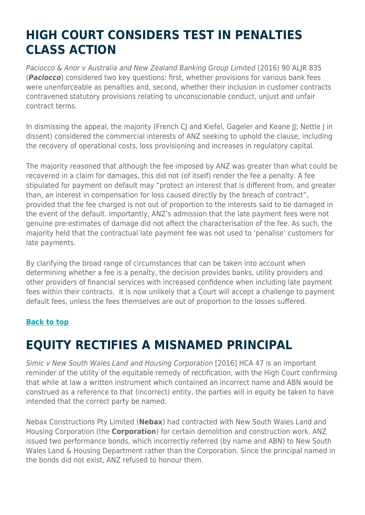### **HIGH COURT CONSIDERS TEST IN PENALTIES CLASS ACTION**

Paciocco & Anor v Australia and New Zealand Banking Group Limited (2016) 90 ALJR 835 (*Paciocco*) considered two key questions: first, whether provisions for various bank fees were unenforceable as penalties and, second, whether their inclusion in customer contracts contravened statutory provisions relating to unconscionable conduct, unjust and unfair contract terms.

In dismissing the appeal, the majority (French CJ and Kiefel, Gageler and Keane II; Nettle J in dissent) considered the commercial interests of ANZ seeking to uphold the clause, including the recovery of operational costs, loss provisioning and increases in regulatory capital.

The majority reasoned that although the fee imposed by ANZ was greater than what could be recovered in a claim for damages, this did not (of itself) render the fee a penalty. A fee stipulated for payment on default may "protect an interest that is different from, and greater than, an interest in compensation for loss caused directly by the breach of contract", provided that the fee charged is not out of proportion to the interests said to be damaged in the event of the default. Importantly, ANZ's admission that the late payment fees were not genuine pre-estimates of damage did not affect the characterisation of the fee. As such, the majority held that the contractual late payment fee was not used to 'penalise' customers for late payments.

By clarifying the broad range of circumstances that can be taken into account when determining whether a fee is a penalty, the decision provides banks, utility providers and other providers of financial services with increased confidence when including late payment fees within their contracts. It is now unlikely that a Court will accept a challenge to payment default fees, unless the fees themselves are out of proportion to the losses suffered.

#### **[Back to top](https://www.herbertsmithfreehills.com/hsfpdf/latest-thinking/commercial-litigation-10-significant-developments-in-australia-in-2016#top)**

### **EQUITY RECTIFIES A MISNAMED PRINCIPAL**

Simic v New South Wales Land and Housing Corporation [2016] HCA 47 is an important reminder of the utility of the equitable remedy of rectification, with the High Court confirming that while at law a written instrument which contained an incorrect name and ABN would be construed as a reference to that (incorrect) entity, the parties will in equity be taken to have intended that the correct party be named.

Nebax Constructions Pty Limited (**Nebax**) had contracted with New South Wales Land and Housing Corporation (the **Corporation**) for certain demolition and construction work. ANZ issued two performance bonds, which incorrectly referred (by name and ABN) to New South Wales Land & Housing Department rather than the Corporation. Since the principal named in the bonds did not exist, ANZ refused to honour them.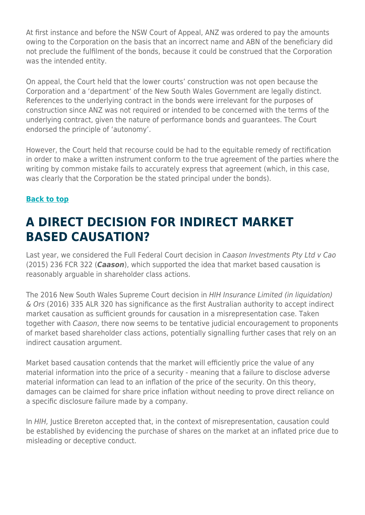At first instance and before the NSW Court of Appeal, ANZ was ordered to pay the amounts owing to the Corporation on the basis that an incorrect name and ABN of the beneficiary did not preclude the fulfilment of the bonds, because it could be construed that the Corporation was the intended entity.

On appeal, the Court held that the lower courts' construction was not open because the Corporation and a 'department' of the New South Wales Government are legally distinct. References to the underlying contract in the bonds were irrelevant for the purposes of construction since ANZ was not required or intended to be concerned with the terms of the underlying contract, given the nature of performance bonds and guarantees. The Court endorsed the principle of 'autonomy'.

However, the Court held that recourse could be had to the equitable remedy of rectification in order to make a written instrument conform to the true agreement of the parties where the writing by common mistake fails to accurately express that agreement (which, in this case, was clearly that the Corporation be the stated principal under the bonds).

#### **[Back to top](https://www.herbertsmithfreehills.com/hsfpdf/latest-thinking/commercial-litigation-10-significant-developments-in-australia-in-2016#top)**

### **A DIRECT DECISION FOR INDIRECT MARKET BASED CAUSATION?**

Last year, we considered the Full Federal Court decision in Caason Investments Pty Ltd v Cao (2015) 236 FCR 322 (*Caason*), which supported the idea that market based causation is reasonably arguable in shareholder class actions.

The 2016 New South Wales Supreme Court decision in HIH Insurance Limited (in liquidation) & Ors (2016) 335 ALR 320 has significance as the first Australian authority to accept indirect market causation as sufficient grounds for causation in a misrepresentation case. Taken together with Caason, there now seems to be tentative judicial encouragement to proponents of market based shareholder class actions, potentially signalling further cases that rely on an indirect causation argument.

Market based causation contends that the market will efficiently price the value of any material information into the price of a security - meaning that a failure to disclose adverse material information can lead to an inflation of the price of the security. On this theory, damages can be claimed for share price inflation without needing to prove direct reliance on a specific disclosure failure made by a company.

In HIH, Justice Brereton accepted that, in the context of misrepresentation, causation could be established by evidencing the purchase of shares on the market at an inflated price due to misleading or deceptive conduct.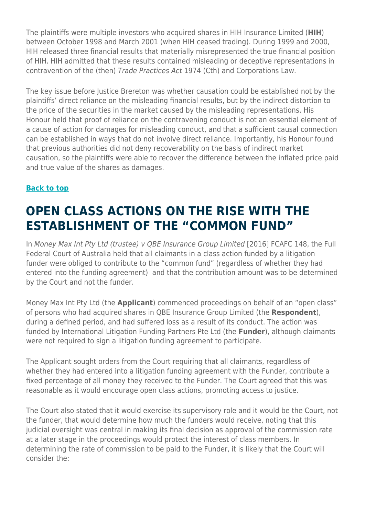The plaintiffs were multiple investors who acquired shares in HIH Insurance Limited (**HIH**) between October 1998 and March 2001 (when HIH ceased trading). During 1999 and 2000, HIH released three financial results that materially misrepresented the true financial position of HIH. HIH admitted that these results contained misleading or deceptive representations in contravention of the (then) Trade Practices Act 1974 (Cth) and Corporations Law.

The key issue before Justice Brereton was whether causation could be established not by the plaintiffs' direct reliance on the misleading financial results, but by the indirect distortion to the price of the securities in the market caused by the misleading representations. His Honour held that proof of reliance on the contravening conduct is not an essential element of a cause of action for damages for misleading conduct, and that a sufficient causal connection can be established in ways that do not involve direct reliance. Importantly, his Honour found that previous authorities did not deny recoverability on the basis of indirect market causation, so the plaintiffs were able to recover the difference between the inflated price paid and true value of the shares as damages.

#### **[Back to top](https://www.herbertsmithfreehills.com/hsfpdf/latest-thinking/commercial-litigation-10-significant-developments-in-australia-in-2016#top)**

### **OPEN CLASS ACTIONS ON THE RISE WITH THE ESTABLISHMENT OF THE "COMMON FUND"**

In Money Max Int Pty Ltd (trustee) v QBE Insurance Group Limited [2016] FCAFC 148, the Full Federal Court of Australia held that all claimants in a class action funded by a litigation funder were obliged to contribute to the "common fund" (regardless of whether they had entered into the funding agreement) and that the contribution amount was to be determined by the Court and not the funder.

Money Max Int Pty Ltd (the **Applicant**) commenced proceedings on behalf of an "open class" of persons who had acquired shares in QBE Insurance Group Limited (the **Respondent**), during a defined period, and had suffered loss as a result of its conduct. The action was funded by International Litigation Funding Partners Pte Ltd (the **Funder**), although claimants were not required to sign a litigation funding agreement to participate.

The Applicant sought orders from the Court requiring that all claimants, regardless of whether they had entered into a litigation funding agreement with the Funder, contribute a fixed percentage of all money they received to the Funder. The Court agreed that this was reasonable as it would encourage open class actions, promoting access to justice.

The Court also stated that it would exercise its supervisory role and it would be the Court, not the funder, that would determine how much the funders would receive, noting that this judicial oversight was central in making its final decision as approval of the commission rate at a later stage in the proceedings would protect the interest of class members. In determining the rate of commission to be paid to the Funder, it is likely that the Court will consider the: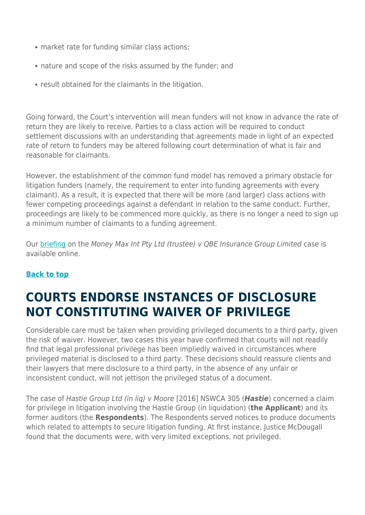- market rate for funding similar class actions;
- nature and scope of the risks assumed by the funder; and
- result obtained for the claimants in the litigation.

Going forward, the Court's intervention will mean funders will not know in advance the rate of return they are likely to receive. Parties to a class action will be required to conduct settlement discussions with an understanding that agreements made in light of an expected rate of return to funders may be altered following court determination of what is fair and reasonable for claimants.

However, the establishment of the common fund model has removed a primary obstacle for litigation funders (namely, the requirement to enter into funding agreements with every claimant). As a result, it is expected that there will be more (and larger) class actions with fewer competing proceedings against a defendant in relation to the same conduct. Further, proceedings are likely to be commenced more quickly, as there is no longer a need to sign up a minimum number of claimants to a funding agreement.

Our [briefing](https://www.herbertsmithfreehills.com/latest-thinking/%E2%80%9Ccommon-funds%E2%80%9D-in-australia-%E2%80%93-the-court-has-its-say-on-litigation-funding) on the Money Max Int Pty Ltd (trustee) v QBE Insurance Group Limited case is available online.

#### **[Back to top](https://www.herbertsmithfreehills.com/hsfpdf/latest-thinking/commercial-litigation-10-significant-developments-in-australia-in-2016#top)**

### **COURTS ENDORSE INSTANCES OF DISCLOSURE NOT CONSTITUTING WAIVER OF PRIVILEGE**

Considerable care must be taken when providing privileged documents to a third party, given the risk of waiver. However, two cases this year have confirmed that courts will not readily find that legal professional privilege has been impliedly waived in circumstances where privileged material is disclosed to a third party. These decisions should reassure clients and their lawyers that mere disclosure to a third party, in the absence of any unfair or inconsistent conduct, will not jettison the privileged status of a document.

The case of Hastie Group Ltd (in liq) v Moore [2016] NSWCA 305 (*Hastie*) concerned a claim for privilege in litigation involving the Hastie Group (in liquidation) (**the Applicant**) and its former auditors (the **Respondents**). The Respondents served notices to produce documents which related to attempts to secure litigation funding. At first instance, Justice McDougall found that the documents were, with very limited exceptions, not privileged.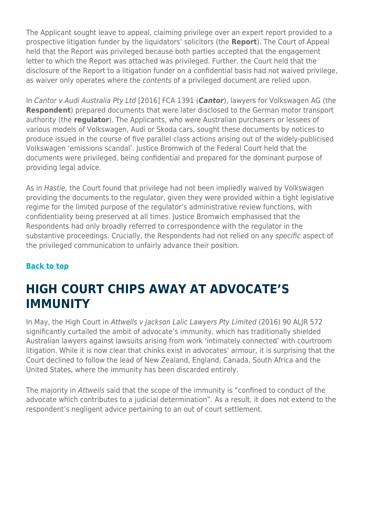The Applicant sought leave to appeal, claiming privilege over an expert report provided to a prospective litigation funder by the liquidators' solicitors (the **Report**). The Court of Appeal held that the Report was privileged because both parties accepted that the engagement letter to which the Report was attached was privileged. Further, the Court held that the disclosure of the Report to a litigation funder on a confidential basis had not waived privilege, as waiver only operates where the contents of a privileged document are relied upon.

In Cantor v Audi Australia Pty Ltd [2016] FCA 1391 (*Cantor*), lawyers for Volkswagen AG (the **Respondent**) prepared documents that were later disclosed to the German motor transport authority (the **regulator**). The Applicants, who were Australian purchasers or lessees of various models of Volkswagen, Audi or Skoda cars, sought these documents by notices to produce issued in the course of five parallel class actions arising out of the widely-publicised Volkswagen 'emissions scandal'. Justice Bromwich of the Federal Court held that the documents were privileged, being confidential and prepared for the dominant purpose of providing legal advice.

As in Hastie, the Court found that privilege had not been impliedly waived by Volkswagen providing the documents to the regulator, given they were provided within a tight legislative regime for the limited purpose of the regulator's administrative review functions, with confidentiality being preserved at all times. Justice Bromwich emphasised that the Respondents had only broadly referred to correspondence with the regulator in the substantive proceedings. Crucially, the Respondents had not relied on any specific aspect of the privileged communication to unfairly advance their position.

#### **[Back to top](https://www.herbertsmithfreehills.com/hsfpdf/latest-thinking/commercial-litigation-10-significant-developments-in-australia-in-2016#top)**

### **HIGH COURT CHIPS AWAY AT ADVOCATE'S IMMUNITY**

In May, the High Court in Attwells v Jackson Lalic Lawyers Pty Limited (2016) 90 ALJR 572 significantly curtailed the ambit of advocate's immunity, which has traditionally shielded Australian lawyers against lawsuits arising from work 'intimately connected' with courtroom litigation. While it is now clear that chinks exist in advocates' armour, it is surprising that the Court declined to follow the lead of New Zealand, England, Canada, South Africa and the United States, where the immunity has been discarded entirely.

The majority in Attwells said that the scope of the immunity is "confined to conduct of the advocate which contributes to a judicial determination". As a result, it does not extend to the respondent's negligent advice pertaining to an out of court settlement.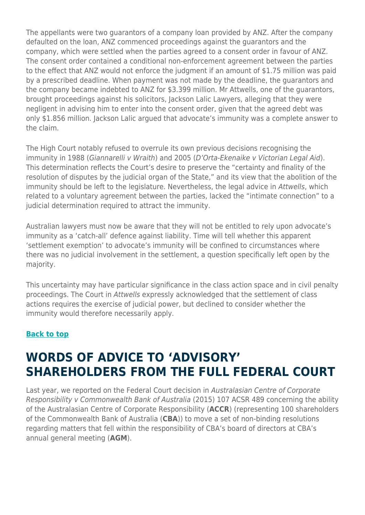The appellants were two guarantors of a company loan provided by ANZ. After the company defaulted on the loan, ANZ commenced proceedings against the guarantors and the company, which were settled when the parties agreed to a consent order in favour of ANZ. The consent order contained a conditional non-enforcement agreement between the parties to the effect that ANZ would not enforce the judgment if an amount of \$1.75 million was paid by a prescribed deadline. When payment was not made by the deadline, the guarantors and the company became indebted to ANZ for \$3.399 million. Mr Attwells, one of the guarantors, brought proceedings against his solicitors, Jackson Lalic Lawyers, alleging that they were negligent in advising him to enter into the consent order, given that the agreed debt was only \$1.856 million. Jackson Lalic argued that advocate's immunity was a complete answer to the claim.

The High Court notably refused to overrule its own previous decisions recognising the immunity in 1988 (Giannarelli v Wraith) and 2005 (D'Orta-Ekenaike v Victorian Legal Aid). This determination reflects the Court's desire to preserve the "certainty and finality of the resolution of disputes by the judicial organ of the State," and its view that the abolition of the immunity should be left to the legislature. Nevertheless, the legal advice in Attwells, which related to a voluntary agreement between the parties, lacked the "intimate connection" to a judicial determination required to attract the immunity.

Australian lawyers must now be aware that they will not be entitled to rely upon advocate's immunity as a 'catch-all' defence against liability. Time will tell whether this apparent 'settlement exemption' to advocate's immunity will be confined to circumstances where there was no judicial involvement in the settlement, a question specifically left open by the majority.

This uncertainty may have particular significance in the class action space and in civil penalty proceedings. The Court in Attwells expressly acknowledged that the settlement of class actions requires the exercise of judicial power, but declined to consider whether the immunity would therefore necessarily apply.

#### **[Back to top](https://www.herbertsmithfreehills.com/hsfpdf/latest-thinking/commercial-litigation-10-significant-developments-in-australia-in-2016#top)**

### **WORDS OF ADVICE TO 'ADVISORY' SHAREHOLDERS FROM THE FULL FEDERAL COURT**

Last year, we reported on the Federal Court decision in Australasian Centre of Corporate Responsibility v Commonwealth Bank of Australia (2015) 107 ACSR 489 concerning the ability of the Australasian Centre of Corporate Responsibility (**ACCR**) (representing 100 shareholders of the Commonwealth Bank of Australia (**CBA**)) to move a set of non-binding resolutions regarding matters that fell within the responsibility of CBA's board of directors at CBA's annual general meeting (**AGM**).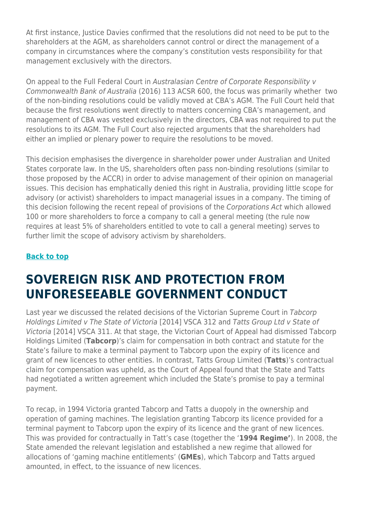At first instance, Justice Davies confirmed that the resolutions did not need to be put to the shareholders at the AGM, as shareholders cannot control or direct the management of a company in circumstances where the company's constitution vests responsibility for that management exclusively with the directors.

On appeal to the Full Federal Court in Australasian Centre of Corporate Responsibility v Commonwealth Bank of Australia (2016) 113 ACSR 600, the focus was primarily whether two of the non-binding resolutions could be validly moved at CBA's AGM. The Full Court held that because the first resolutions went directly to matters concerning CBA's management, and management of CBA was vested exclusively in the directors, CBA was not required to put the resolutions to its AGM. The Full Court also rejected arguments that the shareholders had either an implied or plenary power to require the resolutions to be moved.

This decision emphasises the divergence in shareholder power under Australian and United States corporate law. In the US, shareholders often pass non-binding resolutions (similar to those proposed by the ACCR) in order to advise management of their opinion on managerial issues. This decision has emphatically denied this right in Australia, providing little scope for advisory (or activist) shareholders to impact managerial issues in a company. The timing of this decision following the recent repeal of provisions of the Corporations Act which allowed 100 or more shareholders to force a company to call a general meeting (the rule now requires at least 5% of shareholders entitled to vote to call a general meeting) serves to further limit the scope of advisory activism by shareholders.

#### **[Back to top](https://www.herbertsmithfreehills.com/hsfpdf/latest-thinking/commercial-litigation-10-significant-developments-in-australia-in-2016#top)**

### **SOVEREIGN RISK AND PROTECTION FROM UNFORESEEABLE GOVERNMENT CONDUCT**

Last year we discussed the related decisions of the Victorian Supreme Court in Tabcorp Holdings Limited v The State of Victoria [2014] VSCA 312 and Tatts Group Ltd v State of Victoria [2014] VSCA 311. At that stage, the Victorian Court of Appeal had dismissed Tabcorp Holdings Limited (**Tabcorp**)'s claim for compensation in both contract and statute for the State's failure to make a terminal payment to Tabcorp upon the expiry of its licence and grant of new licences to other entities. In contrast, Tatts Group Limited (**Tatts**)'s contractual claim for compensation was upheld, as the Court of Appeal found that the State and Tatts had negotiated a written agreement which included the State's promise to pay a terminal payment.

To recap, in 1994 Victoria granted Tabcorp and Tatts a duopoly in the ownership and operation of gaming machines. The legislation granting Tabcorp its licence provided for a terminal payment to Tabcorp upon the expiry of its licence and the grant of new licences. This was provided for contractually in Tatt's case (together the '**1994 Regime'**). In 2008, the State amended the relevant legislation and established a new regime that allowed for allocations of 'gaming machine entitlements' (**GMEs**), which Tabcorp and Tatts argued amounted, in effect, to the issuance of new licences.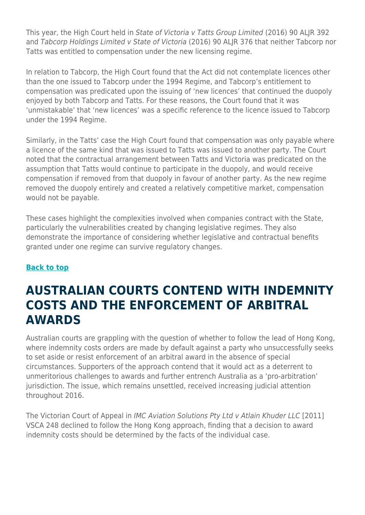This year, the High Court held in State of Victoria v Tatts Group Limited (2016) 90 ALJR 392 and Tabcorp Holdings Limited v State of Victoria (2016) 90 ALJR 376 that neither Tabcorp nor Tatts was entitled to compensation under the new licensing regime.

In relation to Tabcorp, the High Court found that the Act did not contemplate licences other than the one issued to Tabcorp under the 1994 Regime, and Tabcorp's entitlement to compensation was predicated upon the issuing of 'new licences' that continued the duopoly enjoyed by both Tabcorp and Tatts. For these reasons, the Court found that it was 'unmistakable' that 'new licences' was a specific reference to the licence issued to Tabcorp under the 1994 Regime.

Similarly, in the Tatts' case the High Court found that compensation was only payable where a licence of the same kind that was issued to Tatts was issued to another party. The Court noted that the contractual arrangement between Tatts and Victoria was predicated on the assumption that Tatts would continue to participate in the duopoly, and would receive compensation if removed from that duopoly in favour of another party. As the new regime removed the duopoly entirely and created a relatively competitive market, compensation would not be payable.

These cases highlight the complexities involved when companies contract with the State, particularly the vulnerabilities created by changing legislative regimes. They also demonstrate the importance of considering whether legislative and contractual benefits granted under one regime can survive regulatory changes.

#### **[Back to top](https://www.herbertsmithfreehills.com/hsfpdf/latest-thinking/commercial-litigation-10-significant-developments-in-australia-in-2016#top)**

### **AUSTRALIAN COURTS CONTEND WITH INDEMNITY COSTS AND THE ENFORCEMENT OF ARBITRAL AWARDS**

Australian courts are grappling with the question of whether to follow the lead of Hong Kong, where indemnity costs orders are made by default against a party who unsuccessfully seeks to set aside or resist enforcement of an arbitral award in the absence of special circumstances. Supporters of the approach contend that it would act as a deterrent to unmeritorious challenges to awards and further entrench Australia as a 'pro-arbitration' jurisdiction. The issue, which remains unsettled, received increasing judicial attention throughout 2016.

The Victorian Court of Appeal in IMC Aviation Solutions Pty Ltd v Atlain Khuder LLC [2011] VSCA 248 declined to follow the Hong Kong approach, finding that a decision to award indemnity costs should be determined by the facts of the individual case.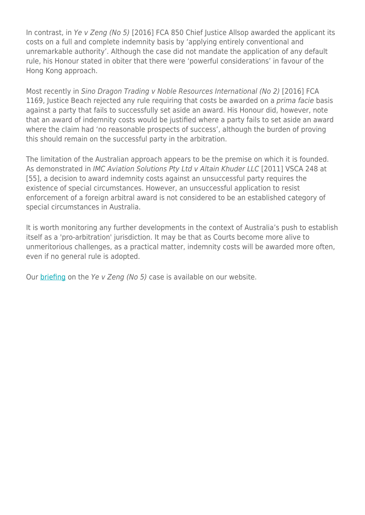In contrast, in Ye v Zeng (No 5) [2016] FCA 850 Chief Justice Allsop awarded the applicant its costs on a full and complete indemnity basis by 'applying entirely conventional and unremarkable authority'. Although the case did not mandate the application of any default rule, his Honour stated in obiter that there were 'powerful considerations' in favour of the Hong Kong approach.

Most recently in Sino Dragon Trading v Noble Resources International (No 2) [2016] FCA 1169, Justice Beach rejected any rule requiring that costs be awarded on a *prima facie* basis against a party that fails to successfully set aside an award. His Honour did, however, note that an award of indemnity costs would be justified where a party fails to set aside an award where the claim had 'no reasonable prospects of success', although the burden of proving this should remain on the successful party in the arbitration.

The limitation of the Australian approach appears to be the premise on which it is founded. As demonstrated in IMC Aviation Solutions Pty Ltd v Altain Khuder LLC [2011] VSCA 248 at [55], a decision to award indemnity costs against an unsuccessful party requires the existence of special circumstances. However, an unsuccessful application to resist enforcement of a foreign arbitral award is not considered to be an established category of special circumstances in Australia.

It is worth monitoring any further developments in the context of Australia's push to establish itself as a 'pro-arbitration' jurisdiction. It may be that as Courts become more alive to unmeritorious challenges, as a practical matter, indemnity costs will be awarded more often, even if no general rule is adopted.

Our [briefing](https://www.herbertsmithfreehills.com/latest-thinking/international-arbitration-enforcing-arbitral-awards-and-indemnity-costs) on the Ye v Zeng (No 5) case is available on our website.